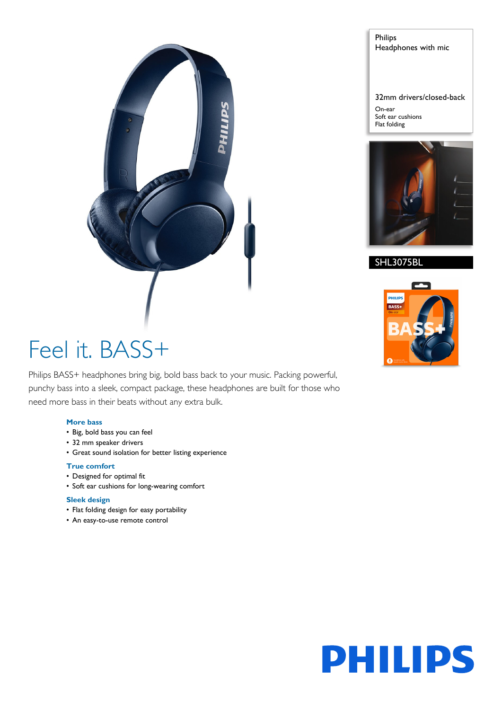

# Philips Headphones with mic

32mm drivers/closed-back

On-ear Soft ear cushions Flat folding



# SHL3075BL



# Feel it. BASS+

Philips BASS+ headphones bring big, bold bass back to your music. Packing powerful, punchy bass into a sleek, compact package, these headphones are built for those who need more bass in their beats without any extra bulk.

# **More bass**

- Big, bold bass you can feel
- 32 mm speaker drivers
- Great sound isolation for better listing experience

# **True comfort**

- Designed for optimal fit
- Soft ear cushions for long-wearing comfort

# **Sleek design**

- Flat folding design for easy portability
- An easy-to-use remote control

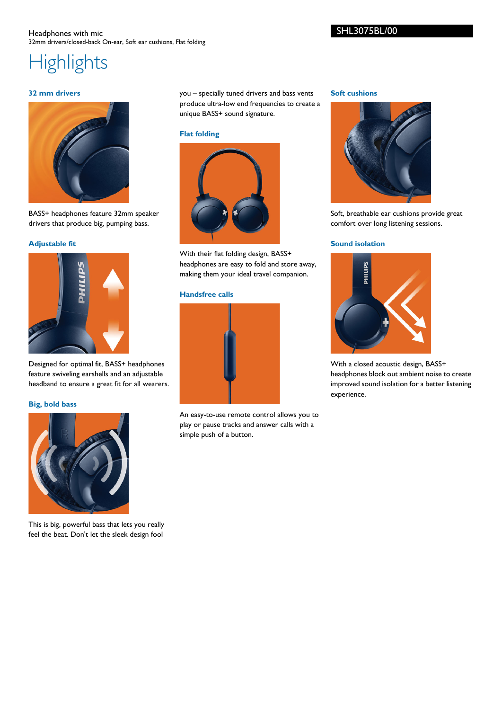# Headphones with mic 32mm drivers/closed-back On-ear, Soft ear cushions, Flat folding

**Highlights** 

# **32 mm drivers**



BASS+ headphones feature 32mm speaker drivers that produce big, pumping bass.

# **Adjustable fit**



Designed for optimal fit, BASS+ headphones feature swiveling earshells and an adjustable headband to ensure a great fit for all wearers.

### **Big, bold bass**



This is big, powerful bass that lets you really feel the beat. Don't let the sleek design fool you – specially tuned drivers and bass vents produce ultra-low end frequencies to create a unique BASS+ sound signature.

#### **Flat folding**



With their flat folding design, BASS+ headphones are easy to fold and store away, making them your ideal travel companion.

# **Handsfree calls**



An easy-to-use remote control allows you to play or pause tracks and answer calls with a simple push of a button.

#### **Soft cushions**



Soft, breathable ear cushions provide great comfort over long listening sessions.

# **Sound isolation**



With a closed acoustic design, BASS+ headphones block out ambient noise to create improved sound isolation for a better listening experience.